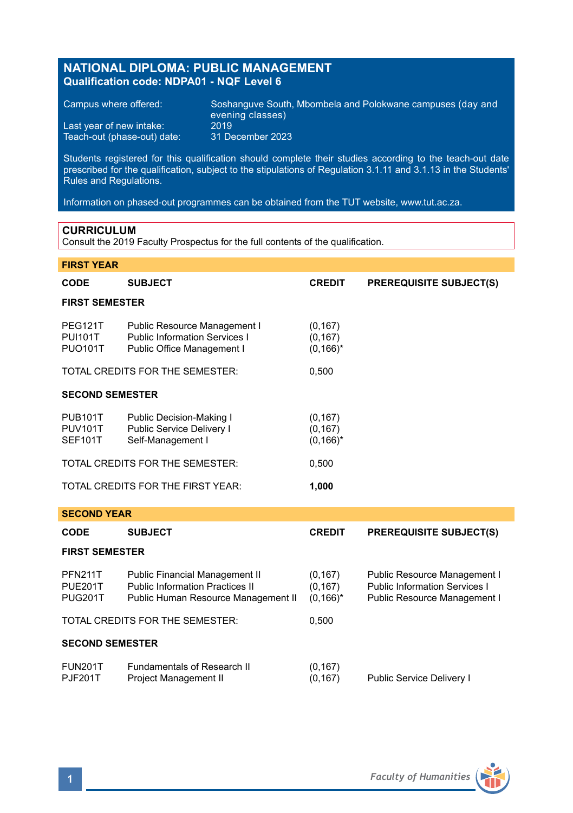# **NATIONAL DIPLOMA: PUBLIC MANAGEMENT Qualification code: NDPA01 - NQF Level 6**

Teach-out (phase-out) date:

Campus where offered: Soshanguve South, Mbombela and Polokwane campuses (day and evening classes) Last year of new intake:  $2019$ <br>Teach-out (phase-out) date: 31 December 2023

Students registered for this qualification should complete their studies according to the teach-out date prescribed for the qualification, subject to the stipulations of Regulation 3.1.11 and 3.1.13 in the Students' Rules and Regulations.

Information on phased-out programmes can be obtained from the TUT website, www.tut.ac.za.

### **CURRICULUM**

Consult the 2019 Faculty Prospectus for the full contents of the qualification.

| <b>FIRST YEAR</b>                                  |                                                                                                                        |                                      |                                                                                                      |  |  |  |  |
|----------------------------------------------------|------------------------------------------------------------------------------------------------------------------------|--------------------------------------|------------------------------------------------------------------------------------------------------|--|--|--|--|
| <b>CODE</b>                                        | <b>SUBJECT</b>                                                                                                         | <b>CREDIT</b>                        | <b>PREREQUISITE SUBJECT(S)</b>                                                                       |  |  |  |  |
| <b>FIRST SEMESTER</b>                              |                                                                                                                        |                                      |                                                                                                      |  |  |  |  |
| <b>PEG121T</b><br><b>PUI101T</b><br><b>PUO101T</b> | Public Resource Management I<br><b>Public Information Services I</b><br>Public Office Management I                     | (0, 167)<br>(0, 167)<br>$(0, 166)^*$ |                                                                                                      |  |  |  |  |
| TOTAL CREDITS FOR THE SEMESTER:                    |                                                                                                                        | 0.500                                |                                                                                                      |  |  |  |  |
| <b>SECOND SEMESTER</b>                             |                                                                                                                        |                                      |                                                                                                      |  |  |  |  |
| <b>PUB101T</b><br><b>PUV101T</b><br><b>SEF101T</b> | Public Decision-Making I<br>Public Service Delivery I<br>Self-Management I                                             | (0, 167)<br>(0, 167)<br>$(0, 166)^*$ |                                                                                                      |  |  |  |  |
|                                                    | TOTAL CREDITS FOR THE SEMESTER:                                                                                        | 0,500                                |                                                                                                      |  |  |  |  |
|                                                    | TOTAL CREDITS FOR THE FIRST YEAR:                                                                                      | 1,000                                |                                                                                                      |  |  |  |  |
| <b>SECOND YEAR</b>                                 |                                                                                                                        |                                      |                                                                                                      |  |  |  |  |
| <b>CODE</b>                                        | <b>SUBJECT</b>                                                                                                         | <b>CREDIT</b>                        | <b>PREREQUISITE SUBJECT(S)</b>                                                                       |  |  |  |  |
| <b>FIRST SEMESTER</b>                              |                                                                                                                        |                                      |                                                                                                      |  |  |  |  |
| <b>PFN211T</b><br>PUE201T<br><b>PUG201T</b>        | <b>Public Financial Management II</b><br><b>Public Information Practices II</b><br>Public Human Resource Management II | (0, 167)<br>(0, 167)<br>$(0, 166)^*$ | Public Resource Management I<br><b>Public Information Services I</b><br>Public Resource Management I |  |  |  |  |
|                                                    | TOTAL CREDITS FOR THE SEMESTER:                                                                                        | 0,500                                |                                                                                                      |  |  |  |  |
| <b>SECOND SEMESTER</b>                             |                                                                                                                        |                                      |                                                                                                      |  |  |  |  |

| <b>FUN201T</b> | Fundamentals of Research II | (0, 167) |                           |
|----------------|-----------------------------|----------|---------------------------|
| <b>PJF201T</b> | Project Management II       | (0, 167) | Public Service Delivery I |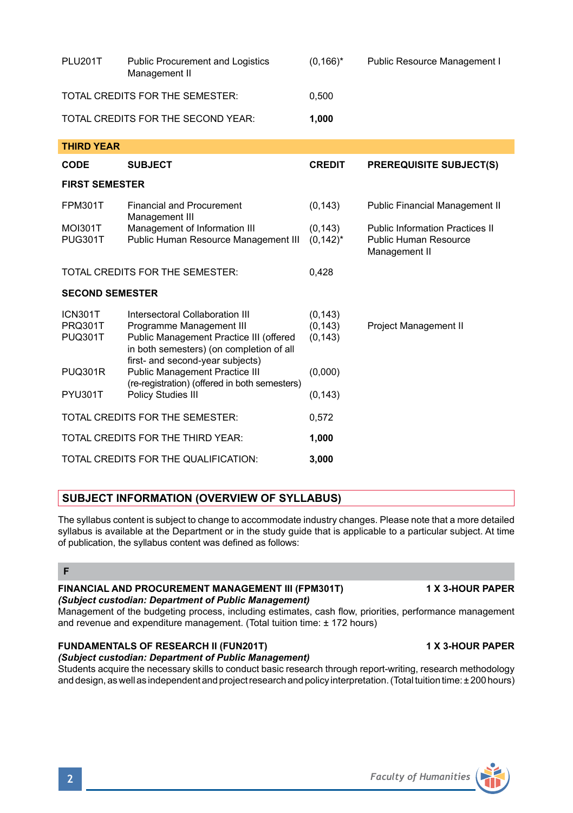| TOTAL CREDITS FOR THE SEMESTER:      |                                                                                                                                                    | 0.500                            |                                                                                  |  |  |  |  |
|--------------------------------------|----------------------------------------------------------------------------------------------------------------------------------------------------|----------------------------------|----------------------------------------------------------------------------------|--|--|--|--|
|                                      | TOTAL CREDITS FOR THE SECOND YEAR:                                                                                                                 | 1,000                            |                                                                                  |  |  |  |  |
| <b>THIRD YEAR</b>                    |                                                                                                                                                    |                                  |                                                                                  |  |  |  |  |
| CODE                                 | <b>SUBJECT</b>                                                                                                                                     | <b>CREDIT</b>                    | <b>PREREQUISITE SUBJECT(S)</b>                                                   |  |  |  |  |
| <b>FIRST SEMESTER</b>                |                                                                                                                                                    |                                  |                                                                                  |  |  |  |  |
| <b>FPM301T</b>                       | <b>Financial and Procurement</b><br>Management III                                                                                                 | (0, 143)                         | <b>Public Financial Management II</b>                                            |  |  |  |  |
| MOI301T<br>PUG301T                   | Management of Information III<br>Public Human Resource Management III                                                                              | (0, 143)<br>$(0, 142)^*$         | <b>Public Information Practices II</b><br>Public Human Resource<br>Management II |  |  |  |  |
|                                      | TOTAL CREDITS FOR THE SEMESTER:                                                                                                                    | 0.428                            |                                                                                  |  |  |  |  |
| <b>SECOND SEMESTER</b>               |                                                                                                                                                    |                                  |                                                                                  |  |  |  |  |
| ICN301T<br>PRQ301T<br><b>PUQ301T</b> | Intersectoral Collaboration III<br>Programme Management III<br>Public Management Practice III (offered<br>in both semesters) (on completion of all | (0, 143)<br>(0, 143)<br>(0, 143) | Project Management II                                                            |  |  |  |  |
| <b>PUQ301R</b>                       | first- and second-year subjects)<br>Public Management Practice III<br>(re-registration) (offered in both semesters)                                | (0,000)                          |                                                                                  |  |  |  |  |
| PYU301T                              | Policy Studies III                                                                                                                                 | (0, 143)                         |                                                                                  |  |  |  |  |
| TOTAL CREDITS FOR THE SEMESTER:      |                                                                                                                                                    | 0,572                            |                                                                                  |  |  |  |  |
| TOTAL CREDITS FOR THE THIRD YEAR:    |                                                                                                                                                    | 1,000                            |                                                                                  |  |  |  |  |
|                                      |                                                                                                                                                    |                                  |                                                                                  |  |  |  |  |

PLU201T Public Procurement and Logistics (0,166)\* Public Resource Management I

# **SUBJECT INFORMATION (OVERVIEW OF SYLLABUS)**

TOTAL CREDITS FOR THE QUALIFICATION: **3,000**

The syllabus content is subject to change to accommodate industry changes. Please note that a more detailed syllabus is available at the Department or in the study guide that is applicable to a particular subject. At time of publication, the syllabus content was defined as follows:

# **F**

# **FINANCIAL AND PROCUREMENT MANAGEMENT III (FPM301T) 1 X 3-HOUR PAPER** *(Subject custodian: Department of Public Management)*

Management of the budgeting process, including estimates, cash flow, priorities, performance management and revenue and expenditure management. (Total tuition time: ± 172 hours)

### **FUNDAMENTALS OF RESEARCH II (FUN201T) 1 X 3-HOUR PAPER** *(Subject custodian: Department of Public Management)*

Management II

Students acquire the necessary skills to conduct basic research through report-writing, research methodology and design, as well as independent and project research and policy interpretation. (Total tuition time: ± 200 hours)



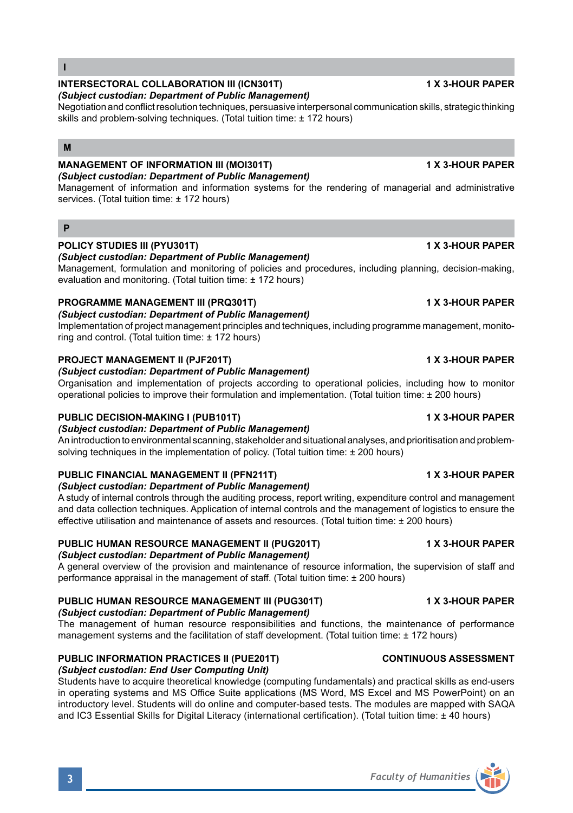# **PUBLIC HUMAN RESOURCE MANAGEMENT III (PUG301T) 1 X 3-HOUR PAPER**

# *(Subject custodian: Department of Public Management)*

The management of human resource responsibilities and functions, the maintenance of performance management systems and the facilitation of staff development. (Total tuition time: ± 172 hours)

# **PUBLIC INFORMATION PRACTICES II (PUE201T) CONTINUOUS ASSESSMENT**

# *(Subject custodian: End User Computing Unit)*

Students have to acquire theoretical knowledge (computing fundamentals) and practical skills as end-users in operating systems and MS Office Suite applications (MS Word, MS Excel and MS PowerPoint) on an introductory level. Students will do online and computer-based tests. The modules are mapped with SAQA and IC3 Essential Skills for Digital Literacy (international certification). (Total tuition time: ± 40 hours)

### **I**

# **INTERSECTORAL COLLABORATION III (ICN301T) 1 X 3-HOUR PAPER**

# *(Subject custodian: Department of Public Management)*

Negotiation and conflict resolution techniques, persuasive interpersonal communication skills, strategic thinking skills and problem-solving techniques. (Total tuition time: ± 172 hours)

# **M**

### **MANAGEMENT OF INFORMATION III (MOI301T) 1 X 3-HOUR PAPER** *(Subject custodian: Department of Public Management)*

Management of information and information systems for the rendering of managerial and administrative services. (Total tuition time: ± 172 hours)

# **P**

# **POLICY STUDIES III (PYU301T) 1 X 3-HOUR PAPER**

# *(Subject custodian: Department of Public Management)*

Management, formulation and monitoring of policies and procedures, including planning, decision-making, evaluation and monitoring. (Total tuition time: ± 172 hours)

# **PROGRAMME MANAGEMENT III (PRQ301T) 1 X 3-HOUR PAPER**

*(Subject custodian: Department of Public Management)* Implementation of project management principles and techniques, including programme management, monitoring and control. (Total tuition time: ± 172 hours)

# **PROJECT MANAGEMENT II (PJF201T) 1 X 3-HOUR PAPER**

# *(Subject custodian: Department of Public Management)*

Organisation and implementation of projects according to operational policies, including how to monitor operational policies to improve their formulation and implementation. (Total tuition time: ± 200 hours)

# **PUBLIC DECISION-MAKING I (PUB101T) 1 X 3-HOUR PAPER**

# *(Subject custodian: Department of Public Management)*

An introduction to environmental scanning, stakeholder and situational analyses, and prioritisation and problemsolving techniques in the implementation of policy. (Total tuition time: ± 200 hours)

### **PUBLIC FINANCIAL MANAGEMENT II (PFN211T) 1 X 3-HOUR PAPER** *(Subject custodian: Department of Public Management)*

A study of internal controls through the auditing process, report writing, expenditure control and management and data collection techniques. Application of internal controls and the management of logistics to ensure the effective utilisation and maintenance of assets and resources. (Total tuition time: ± 200 hours)

# **PUBLIC HUMAN RESOURCE MANAGEMENT II (PUG201T) 1 X 3-HOUR PAPER**

# *(Subject custodian: Department of Public Management)*

A general overview of the provision and maintenance of resource information, the supervision of staff and performance appraisal in the management of staff. (Total tuition time: ± 200 hours)